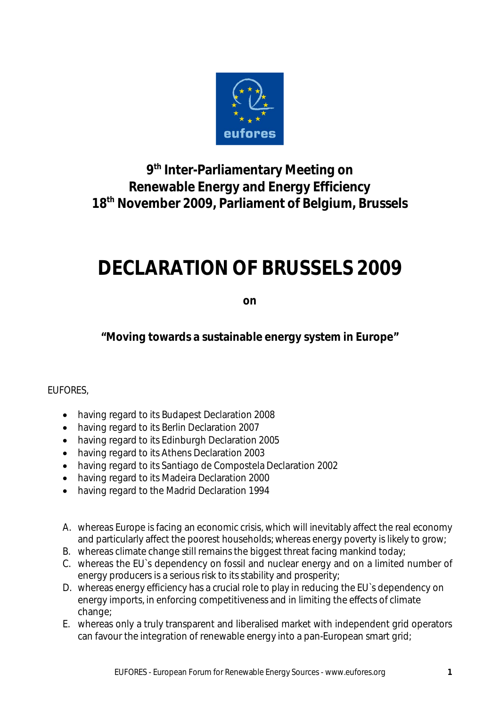

**9 th Inter-Parliamentary Meeting on Renewable Energy and Energy Efficiency 18th November 2009, Parliament of Belgium, Brussels**

# **DECLARATION OF BRUSSELS 2009**

**on**

**"Moving towards a sustainable energy system in Europe"**

#### EUFORES,

- having regard to its Budapest Declaration 2008
- having regard to its Berlin Declaration 2007
- having regard to its Edinburgh Declaration 2005
- having regard to its Athens Declaration 2003
- having regard to its Santiago de Compostela Declaration 2002
- having regard to its Madeira Declaration 2000
- having regard to the Madrid Declaration 1994
- A. whereas Europe is facing an economic crisis, which will inevitably affect the real economy and particularly affect the poorest households; whereas energy poverty is likely to grow;
- B. whereas climate change still remains the biggest threat facing mankind today;
- C. whereas the EU`s dependency on fossil and nuclear energy and on a limited number of energy producers is a serious risk to its stability and prosperity;
- D. whereas energy efficiency has a crucial role to play in reducing the EU`s dependency on energy imports, in enforcing competitiveness and in limiting the effects of climate change;
- E. whereas only a truly transparent and liberalised market with independent grid operators can favour the integration of renewable energy into a pan-European smart grid;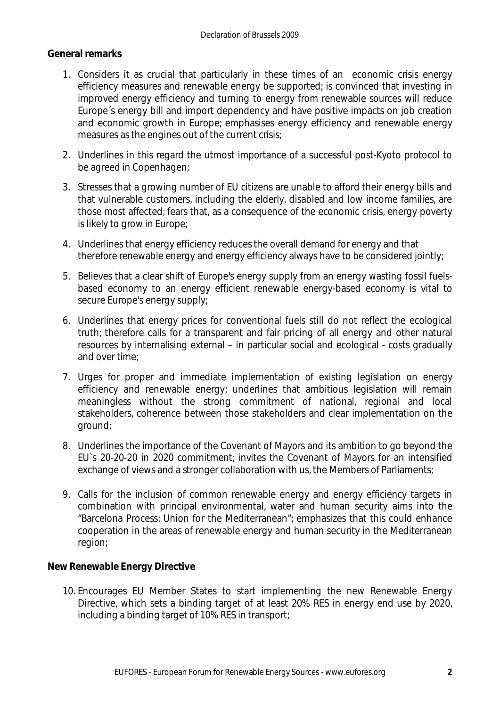#### **General remarks**

- 1. Considers it as crucial that particularly in these times of an economic crisis energy efficiency measures and renewable energy be supported; is convinced that investing in improved energy efficiency and turning to energy from renewable sources will reduce Europe´s energy bill and import dependency and have positive impacts on job creation and economic growth in Europe; emphasises energy efficiency and renewable energy measures as the engines out of the current crisis;
- 2. Underlines in this regard the utmost importance of a successful post-Kyoto protocol to be agreed in Copenhagen;
- 3. Stresses that a growing number of EU citizens are unable to afford their energy bills and that vulnerable customers, including the elderly, disabled and low income families, are those most affected; fears that, as a consequence of the economic crisis, energy poverty is likely to grow in Europe;
- 4. Underlines that energy efficiency reduces the overall demand for energy and that therefore renewable energy and energy efficiency always have to be considered jointly;
- 5. Believes that a clear shift of Europe's energy supply from an energy wasting fossil fuelsbased economy to an energy efficient renewable energy-based economy is vital to secure Europe's energy supply;
- 6. Underlines that energy prices for conventional fuels still do not reflect the ecological truth; therefore calls for a transparent and fair pricing of all energy and other natural resources by internalising external – in particular social and ecological - costs gradually and over time;
- 7. Urges for proper and immediate implementation of existing legislation on energy efficiency and renewable energy; underlines that ambitious legislation will remain meaningless without the strong commitment of national, regional and local stakeholders, coherence between those stakeholders and clear implementation on the ground;
- 8. Underlines the importance of the Covenant of Mayors and its ambition to go beyond the EU`s 20-20-20 in 2020 commitment; invites the Covenant of Mayors for an intensified exchange of views and a stronger collaboration with us, the Members of Parliaments;
- 9. Calls for the inclusion of common renewable energy and energy efficiency targets in combination with principal environmental, water and human security aims into the "Barcelona Process: Union for the Mediterranean"; emphasizes that this could enhance cooperation in the areas of renewable energy and human security in the Mediterranean region;

#### **New Renewable Energy Directive**

10. Encourages EU Member States to start implementing the new Renewable Energy Directive, which sets a binding target of at least 20% RES in energy end use by 2020, including a binding target of 10% RES in transport;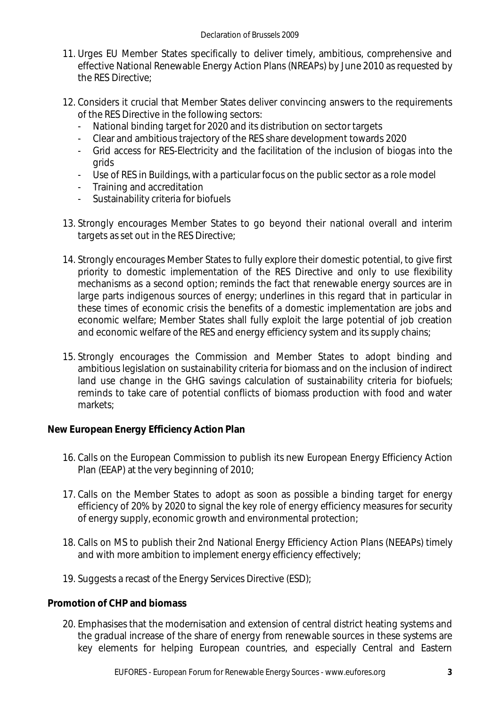- 11. Urges EU Member States specifically to deliver timely, ambitious, comprehensive and effective National Renewable Energy Action Plans (NREAPs) by June 2010 as requested by the RES Directive;
- 12. Considers it crucial that Member States deliver convincing answers to the requirements of the RES Directive in the following sectors:
	- National binding target for 2020 and its distribution on sector targets
	- Clear and ambitious trajectory of the RES share development towards 2020
	- Grid access for RES-Electricity and the facilitation of the inclusion of biogas into the grids
	- Use of RES in Buildings, with a particular focus on the public sector as a role model
	- Training and accreditation
	- Sustainability criteria for biofuels
- 13. Strongly encourages Member States to go beyond their national overall and interim targets as set out in the RES Directive;
- 14. Strongly encourages Member States to fully explore their domestic potential, to give first priority to domestic implementation of the RES Directive and only to use flexibility mechanisms as a second option; reminds the fact that renewable energy sources are in large parts indigenous sources of energy; underlines in this regard that in particular in these times of economic crisis the benefits of a domestic implementation are jobs and economic welfare; Member States shall fully exploit the large potential of job creation and economic welfare of the RES and energy efficiency system and its supply chains;
- 15. Strongly encourages the Commission and Member States to adopt binding and ambitious legislation on sustainability criteria for biomass and on the inclusion of indirect land use change in the GHG savings calculation of sustainability criteria for biofuels; reminds to take care of potential conflicts of biomass production with food and water markets;

**New European Energy Efficiency Action Plan**

- 16. Calls on the European Commission to publish its new European Energy Efficiency Action Plan (EEAP) at the very beginning of 2010;
- 17. Calls on the Member States to adopt as soon as possible a binding target for energy efficiency of 20% by 2020 to signal the key role of energy efficiency measures for security of energy supply, economic growth and environmental protection;
- 18. Calls on MS to publish their 2nd National Energy Efficiency Action Plans (NEEAPs) timely and with more ambition to implement energy efficiency effectively;
- 19. Suggests a recast of the Energy Services Directive (ESD);

**Promotion of CHP and biomass**

20. Emphasises that the modernisation and extension of central district heating systems and the gradual increase of the share of energy from renewable sources in these systems are key elements for helping European countries, and especially Central and Eastern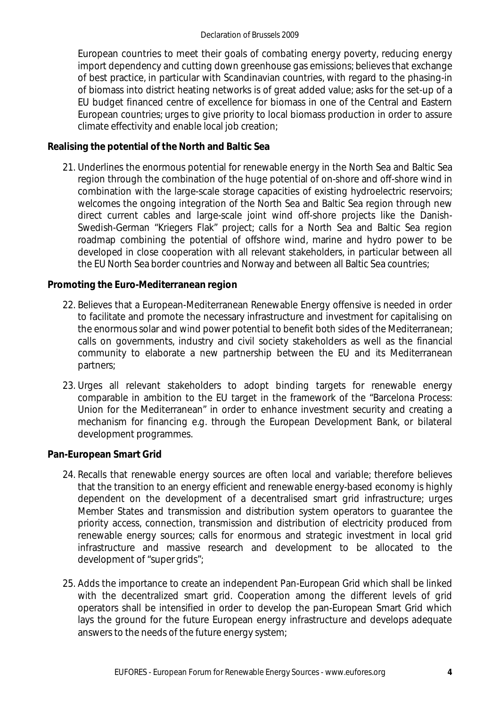European countries to meet their goals of combating energy poverty, reducing energy import dependency and cutting down greenhouse gas emissions; believes that exchange of best practice, in particular with Scandinavian countries, with regard to the phasing-in of biomass into district heating networks is of great added value; asks for the set-up of a EU budget financed centre of excellence for biomass in one of the Central and Eastern European countries; urges to give priority to local biomass production in order to assure climate effectivity and enable local job creation;

**Realising the potential of the North and Baltic Sea**

21. Underlines the enormous potential for renewable energy in the North Sea and Baltic Sea region through the combination of the huge potential of on-shore and off-shore wind in combination with the large-scale storage capacities of existing hydroelectric reservoirs; welcomes the ongoing integration of the North Sea and Baltic Sea region through new direct current cables and large-scale joint wind off-shore projects like the Danish-Swedish-German "Kriegers Flak" project; calls for a North Sea and Baltic Sea region roadmap combining the potential of offshore wind, marine and hydro power to be developed in close cooperation with all relevant stakeholders, in particular between all the EU North Sea border countries and Norway and between all Baltic Sea countries;

### **Promoting the Euro-Mediterranean region**

- 22. Believes that a European-Mediterranean Renewable Energy offensive is needed in order to facilitate and promote the necessary infrastructure and investment for capitalising on the enormous solar and wind power potential to benefit both sides of the Mediterranean; calls on governments, industry and civil society stakeholders as well as the financial community to elaborate a new partnership between the EU and its Mediterranean partners;
- 23. Urges all relevant stakeholders to adopt binding targets for renewable energy comparable in ambition to the EU target in the framework of the "Barcelona Process: Union for the Mediterranean" in order to enhance investment security and creating a mechanism for financing e.g. through the European Development Bank, or bilateral development programmes.

**Pan-European Smart Grid**

- 24. Recalls that renewable energy sources are often local and variable; therefore believes that the transition to an energy efficient and renewable energy-based economy is highly dependent on the development of a decentralised smart grid infrastructure; urges Member States and transmission and distribution system operators to guarantee the priority access, connection, transmission and distribution of electricity produced from renewable energy sources; calls for enormous and strategic investment in local grid infrastructure and massive research and development to be allocated to the development of "super grids";
- 25. Adds the importance to create an independent Pan-European Grid which shall be linked with the decentralized smart grid. Cooperation among the different levels of grid operators shall be intensified in order to develop the pan-European Smart Grid which lays the ground for the future European energy infrastructure and develops adequate answers to the needs of the future energy system;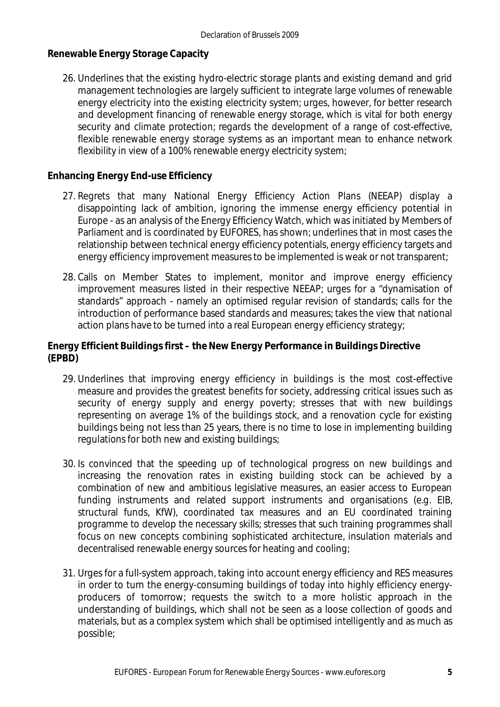**Renewable Energy Storage Capacity**

26. Underlines that the existing hydro-electric storage plants and existing demand and grid management technologies are largely sufficient to integrate large volumes of renewable energy electricity into the existing electricity system; urges, however, for better research and development financing of renewable energy storage, which is vital for both energy security and climate protection; regards the development of a range of cost-effective, flexible renewable energy storage systems as an important mean to enhance network flexibility in view of a 100% renewable energy electricity system;

**Enhancing Energy End-use Efficiency**

- 27. Regrets that many National Energy Efficiency Action Plans (NEEAP) display a disappointing lack of ambition, ignoring the immense energy efficiency potential in Europe - as an analysis of the Energy Efficiency Watch, which was initiated by Members of Parliament and is coordinated by EUFORES, has shown; underlines that in most cases the relationship between technical energy efficiency potentials, energy efficiency targets and energy efficiency improvement measures to be implemented is weak or not transparent;
- 28. Calls on Member States to implement, monitor and improve energy efficiency improvement measures listed in their respective NEEAP; urges for a "dynamisation of standards" approach - namely an optimised regular revision of standards; calls for the introduction of performance based standards and measures; takes the view that national action plans have to be turned into a real European energy efficiency strategy;

**Energy Efficient Buildings first – the New Energy Performance in Buildings Directive (EPBD)**

- 29. Underlines that improving energy efficiency in buildings is the most cost-effective measure and provides the greatest benefits for society, addressing critical issues such as security of energy supply and energy poverty; stresses that with new buildings representing on average 1% of the buildings stock, and a renovation cycle for existing buildings being not less than 25 years, there is no time to lose in implementing building regulations for both new and existing buildings;
- 30. Is convinced that the speeding up of technological progress on new buildings and increasing the renovation rates in existing building stock can be achieved by a combination of new and ambitious legislative measures, an easier access to European funding instruments and related support instruments and organisations (e.g. EIB, structural funds, KfW), coordinated tax measures and an EU coordinated training programme to develop the necessary skills; stresses that such training programmes shall focus on new concepts combining sophisticated architecture, insulation materials and decentralised renewable energy sources for heating and cooling;
- 31. Urges for a full-system approach, taking into account energy efficiency and RES measures in order to turn the energy-consuming buildings of today into highly efficiency energyproducers of tomorrow; requests the switch to a more holistic approach in the understanding of buildings, which shall not be seen as a loose collection of goods and materials, but as a complex system which shall be optimised intelligently and as much as possible;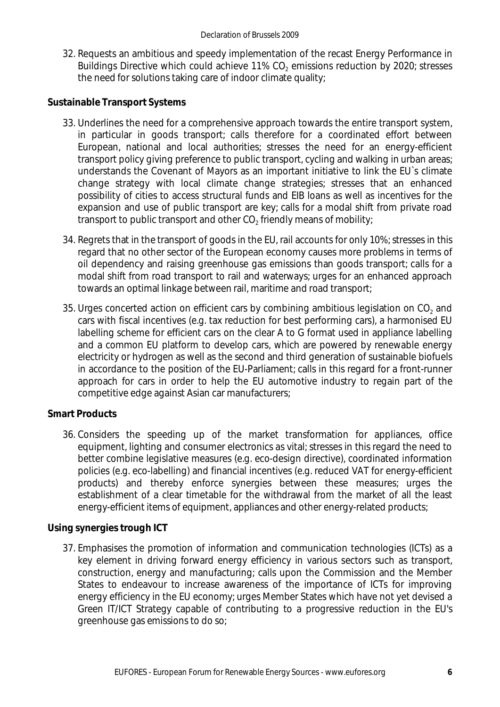32. Requests an ambitious and speedy implementation of the recast Energy Performance in Buildings Directive which could achieve 11% CO<sub>2</sub> emissions reduction by 2020; stresses the need for solutions taking care of indoor climate quality;

**Sustainable Transport Systems**

- 33. Underlines the need for a comprehensive approach towards the entire transport system, in particular in goods transport; calls therefore for a coordinated effort between European, national and local authorities; stresses the need for an energy-efficient transport policy giving preference to public transport, cycling and walking in urban areas; understands the Covenant of Mayors as an important initiative to link the EU`s climate change strategy with local climate change strategies; stresses that an enhanced possibility of cities to access structural funds and EIB loans as well as incentives for the expansion and use of public transport are key; calls for a modal shift from private road transport to public transport and other  $\mathrm{CO}_2$  friendly means of mobility;
- 34. Regrets that in the transport of goods in the EU, rail accounts for only 10%; stresses in this regard that no other sector of the European economy causes more problems in terms of oil dependency and raising greenhouse gas emissions than goods transport; calls for a modal shift from road transport to rail and waterways; urges for an enhanced approach towards an optimal linkage between rail, maritime and road transport;
- 35. Urges concerted action on efficient cars by combining ambitious legislation on CO<sub>2</sub> and cars with fiscal incentives (e.g. tax reduction for best performing cars), a harmonised EU labelling scheme for efficient cars on the clear A to G format used in appliance labelling and a common EU platform to develop cars, which are powered by renewable energy electricity or hydrogen as well as the second and third generation of sustainable biofuels in accordance to the position of the EU-Parliament; calls in this regard for a front-runner approach for cars in order to help the EU automotive industry to regain part of the competitive edge against Asian car manufacturers;

#### **Smart Products**

36. Considers the speeding up of the market transformation for appliances, office equipment, lighting and consumer electronics as vital; stresses in this regard the need to better combine legislative measures (e.g. eco-design directive), coordinated information policies (e.g. eco-labelling) and financial incentives (e.g. reduced VAT for energy-efficient products) and thereby enforce synergies between these measures; urges the establishment of a clear timetable for the withdrawal from the market of all the least energy-efficient items of equipment, appliances and other energy-related products;

**Using synergies trough ICT**

37. Emphasises the promotion of information and communication technologies (ICTs) as a key element in driving forward energy efficiency in various sectors such as transport, construction, energy and manufacturing; calls upon the Commission and the Member States to endeavour to increase awareness of the importance of ICTs for improving energy efficiency in the EU economy; urges Member States which have not yet devised a Green IT/ICT Strategy capable of contributing to a progressive reduction in the EU's greenhouse gas emissions to do so;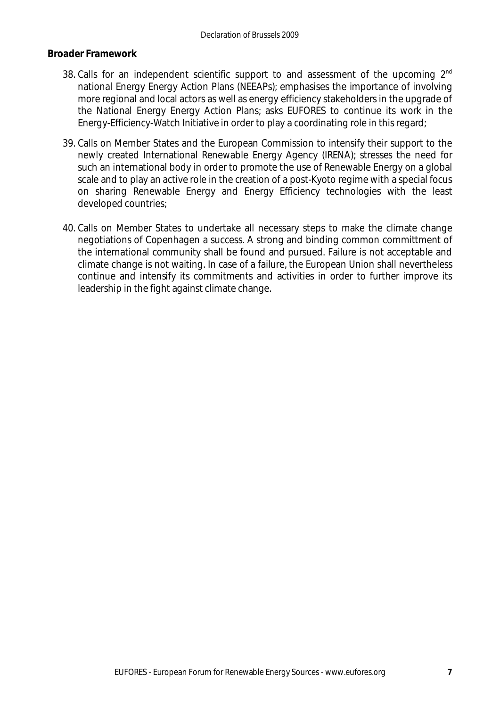#### **Broader Framework**

- 38. Calls for an independent scientific support to and assessment of the upcoming 2<sup>nd</sup> national Energy Energy Action Plans (NEEAPs); emphasises the importance of involving more regional and local actors as well as energy efficiency stakeholders in the upgrade of the National Energy Energy Action Plans; asks EUFORES to continue its work in the Energy-Efficiency-Watch Initiative in order to play a coordinating role in this regard;
- 39. Calls on Member States and the European Commission to intensify their support to the newly created International Renewable Energy Agency (IRENA); stresses the need for such an international body in order to promote the use of Renewable Energy on a global scale and to play an active role in the creation of a post-Kyoto regime with a special focus on sharing Renewable Energy and Energy Efficiency technologies with the least developed countries;
- 40. Calls on Member States to undertake all necessary steps to make the climate change negotiations of Copenhagen a success. A strong and binding common committment of the international community shall be found and pursued. Failure is not acceptable and climate change is not waiting. In case of a failure, the European Union shall nevertheless continue and intensify its commitments and activities in order to further improve its leadership in the fight against climate change.